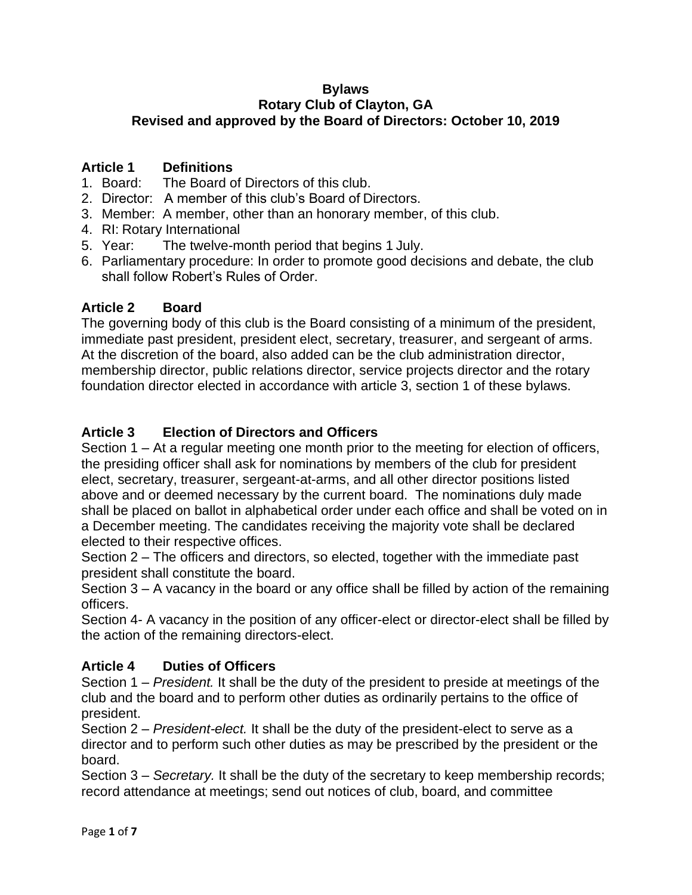#### **Bylaws Rotary Club of Clayton, GA Revised and approved by the Board of Directors: October 10, 2019**

# **Article 1 Definitions**

- 1. Board: The Board of Directors of this club.
- 2. Director: A member of this club's Board of Directors.
- 3. Member: A member, other than an honorary member, of this club.
- 4. RI: Rotary International
- 5. Year: The twelve-month period that begins 1 July.
- 6. Parliamentary procedure: In order to promote good decisions and debate, the club shall follow Robert's Rules of Order.

# **Article 2 Board**

The governing body of this club is the Board consisting of a minimum of the president, immediate past president, president elect, secretary, treasurer, and sergeant of arms. At the discretion of the board, also added can be the club administration director, membership director, public relations director, service projects director and the rotary foundation director elected in accordance with article 3, section 1 of these bylaws.

# **Article 3 Election of Directors and Officers**

Section 1 – At a regular meeting one month prior to the meeting for election of officers, the presiding officer shall ask for nominations by members of the club for president elect, secretary, treasurer, sergeant-at-arms, and all other director positions listed above and or deemed necessary by the current board. The nominations duly made shall be placed on ballot in alphabetical order under each office and shall be voted on in a December meeting. The candidates receiving the majority vote shall be declared elected to their respective offices.

Section 2 – The officers and directors, so elected, together with the immediate past president shall constitute the board.

Section 3 – A vacancy in the board or any office shall be filled by action of the remaining officers.

Section 4- A vacancy in the position of any officer-elect or director-elect shall be filled by the action of the remaining directors-elect.

# **Article 4 Duties of Officers**

Section 1 – *President.* It shall be the duty of the president to preside at meetings of the club and the board and to perform other duties as ordinarily pertains to the office of president.

Section 2 – *President-elect.* It shall be the duty of the president-elect to serve as a director and to perform such other duties as may be prescribed by the president or the board.

Section 3 – *Secretary.* It shall be the duty of the secretary to keep membership records; record attendance at meetings; send out notices of club, board, and committee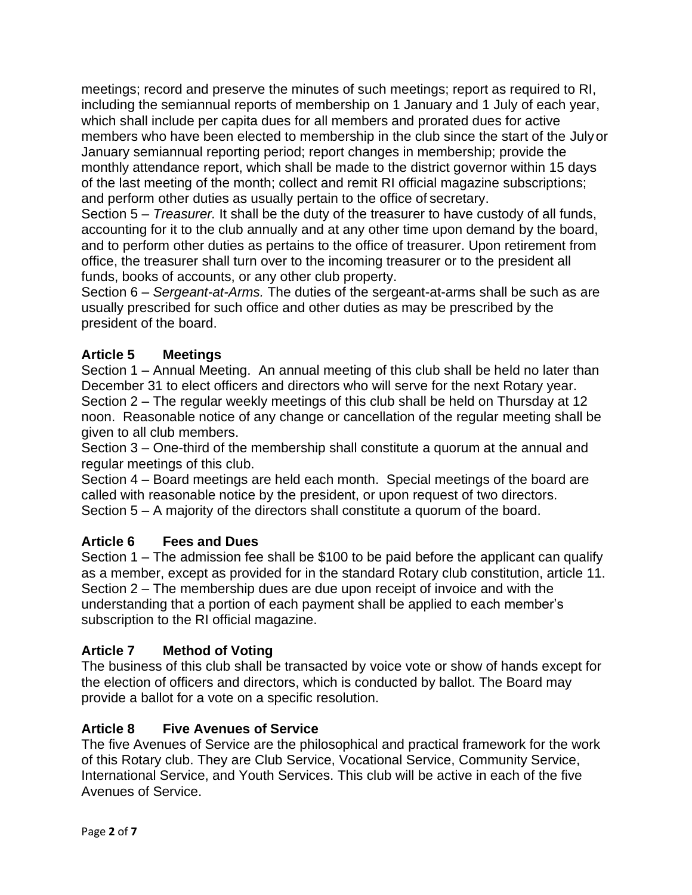meetings; record and preserve the minutes of such meetings; report as required to RI, including the semiannual reports of membership on 1 January and 1 July of each year, which shall include per capita dues for all members and prorated dues for active members who have been elected to membership in the club since the start of the Julyor January semiannual reporting period; report changes in membership; provide the monthly attendance report, which shall be made to the district governor within 15 days of the last meeting of the month; collect and remit RI official magazine subscriptions; and perform other duties as usually pertain to the office of secretary.

Section 5 – *Treasurer.* It shall be the duty of the treasurer to have custody of all funds, accounting for it to the club annually and at any other time upon demand by the board, and to perform other duties as pertains to the office of treasurer. Upon retirement from office, the treasurer shall turn over to the incoming treasurer or to the president all funds, books of accounts, or any other club property.

Section 6 – *Sergeant-at-Arms.* The duties of the sergeant-at-arms shall be such as are usually prescribed for such office and other duties as may be prescribed by the president of the board.

### **Article 5 Meetings**

Section 1 – Annual Meeting. An annual meeting of this club shall be held no later than December 31 to elect officers and directors who will serve for the next Rotary year. Section 2 – The regular weekly meetings of this club shall be held on Thursday at 12 noon. Reasonable notice of any change or cancellation of the regular meeting shall be given to all club members.

Section 3 – One-third of the membership shall constitute a quorum at the annual and regular meetings of this club.

Section 4 – Board meetings are held each month. Special meetings of the board are called with reasonable notice by the president, or upon request of two directors. Section 5 – A majority of the directors shall constitute a quorum of the board.

### **Article 6 Fees and Dues**

Section 1 – The admission fee shall be \$100 to be paid before the applicant can qualify as a member, except as provided for in the standard Rotary club constitution, article 11. Section 2 – The membership dues are due upon receipt of invoice and with the understanding that a portion of each payment shall be applied to each member's subscription to the RI official magazine.

### **Article 7 Method of Voting**

The business of this club shall be transacted by voice vote or show of hands except for the election of officers and directors, which is conducted by ballot. The Board may provide a ballot for a vote on a specific resolution.

### **Article 8 Five Avenues of Service**

The five Avenues of Service are the philosophical and practical framework for the work of this Rotary club. They are Club Service, Vocational Service, Community Service, International Service, and Youth Services. This club will be active in each of the five Avenues of Service.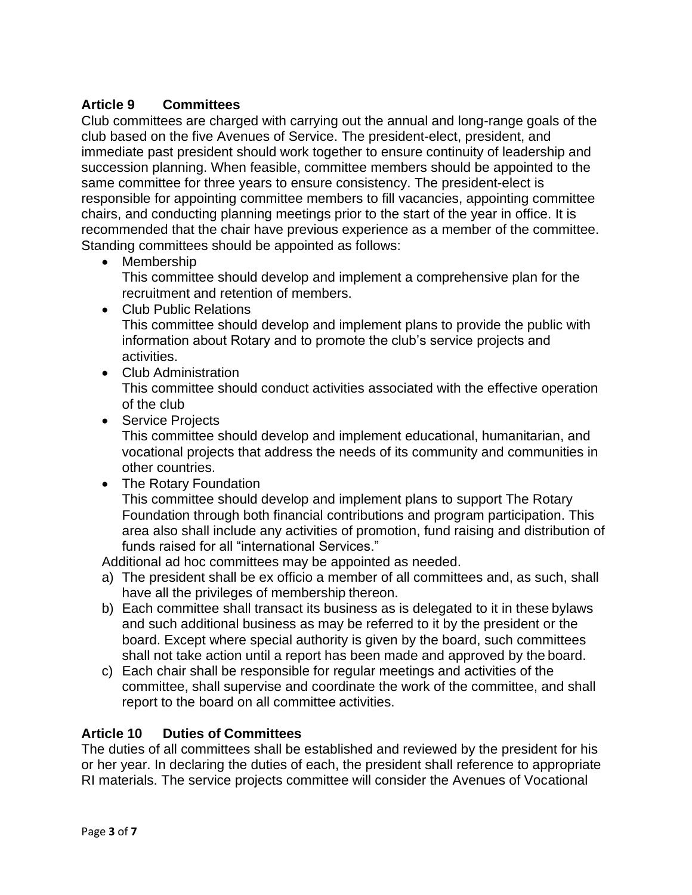# **Article 9 Committees**

Club committees are charged with carrying out the annual and long-range goals of the club based on the five Avenues of Service. The president-elect, president, and immediate past president should work together to ensure continuity of leadership and succession planning. When feasible, committee members should be appointed to the same committee for three years to ensure consistency. The president-elect is responsible for appointing committee members to fill vacancies, appointing committee chairs, and conducting planning meetings prior to the start of the year in office. It is recommended that the chair have previous experience as a member of the committee. Standing committees should be appointed as follows:

• Membership

This committee should develop and implement a comprehensive plan for the recruitment and retention of members.

- Club Public Relations This committee should develop and implement plans to provide the public with information about Rotary and to promote the club's service projects and activities.
- Club Administration This committee should conduct activities associated with the effective operation of the club
- Service Projects

This committee should develop and implement educational, humanitarian, and vocational projects that address the needs of its community and communities in other countries.

• The Rotary Foundation

This committee should develop and implement plans to support The Rotary Foundation through both financial contributions and program participation. This area also shall include any activities of promotion, fund raising and distribution of funds raised for all "international Services."

Additional ad hoc committees may be appointed as needed.

- a) The president shall be ex officio a member of all committees and, as such, shall have all the privileges of membership thereon.
- b) Each committee shall transact its business as is delegated to it in these bylaws and such additional business as may be referred to it by the president or the board. Except where special authority is given by the board, such committees shall not take action until a report has been made and approved by the board.
- c) Each chair shall be responsible for regular meetings and activities of the committee, shall supervise and coordinate the work of the committee, and shall report to the board on all committee activities.

### **Article 10 Duties of Committees**

The duties of all committees shall be established and reviewed by the president for his or her year. In declaring the duties of each, the president shall reference to appropriate RI materials. The service projects committee will consider the Avenues of Vocational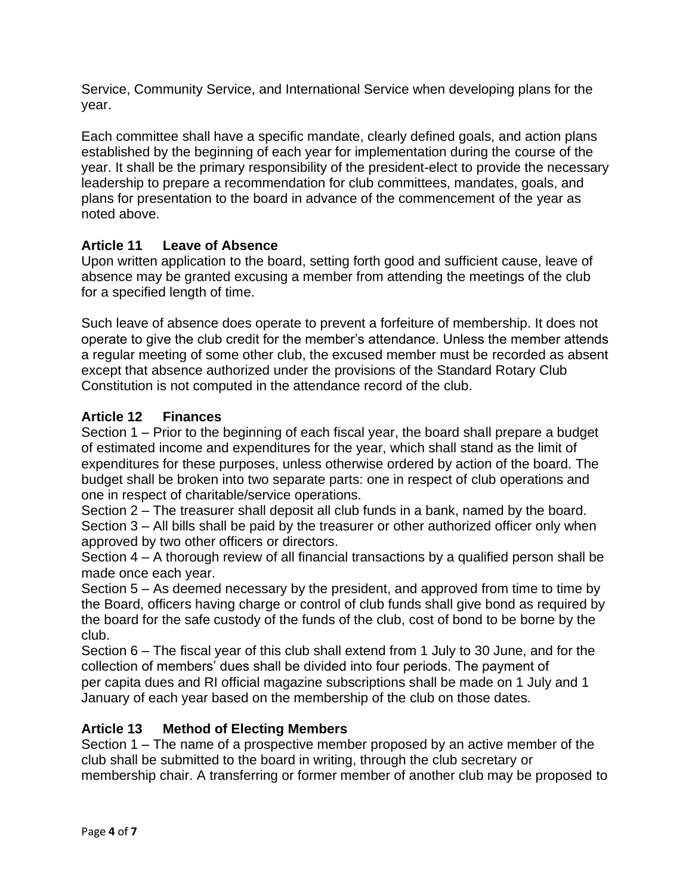Service, Community Service, and International Service when developing plans for the year.

Each committee shall have a specific mandate, clearly defined goals, and action plans established by the beginning of each year for implementation during the course of the year. It shall be the primary responsibility of the president-elect to provide the necessary leadership to prepare a recommendation for club committees, mandates, goals, and plans for presentation to the board in advance of the commencement of the year as noted above.

# **Article 11 Leave of Absence**

Upon written application to the board, setting forth good and sufficient cause, leave of absence may be granted excusing a member from attending the meetings of the club for a specified length of time.

Such leave of absence does operate to prevent a forfeiture of membership. It does not operate to give the club credit for the member's attendance. Unless the member attends a regular meeting of some other club, the excused member must be recorded as absent except that absence authorized under the provisions of the Standard Rotary Club Constitution is not computed in the attendance record of the club.

# **Article 12 Finances**

Section 1 – Prior to the beginning of each fiscal year, the board shall prepare a budget of estimated income and expenditures for the year, which shall stand as the limit of expenditures for these purposes, unless otherwise ordered by action of the board. The budget shall be broken into two separate parts: one in respect of club operations and one in respect of charitable/service operations.

Section 2 – The treasurer shall deposit all club funds in a bank, named by the board. Section 3 – All bills shall be paid by the treasurer or other authorized officer only when approved by two other officers or directors.

Section 4 – A thorough review of all financial transactions by a qualified person shall be made once each year.

Section 5 – As deemed necessary by the president, and approved from time to time by the Board, officers having charge or control of club funds shall give bond as required by the board for the safe custody of the funds of the club, cost of bond to be borne by the club.

Section 6 – The fiscal year of this club shall extend from 1 July to 30 June, and for the collection of members' dues shall be divided into four periods. The payment of per capita dues and RI official magazine subscriptions shall be made on 1 July and 1 January of each year based on the membership of the club on those dates.

### **Article 13 Method of Electing Members**

Section 1 – The name of a prospective member proposed by an active member of the club shall be submitted to the board in writing, through the club secretary or membership chair. A transferring or former member of another club may be proposed to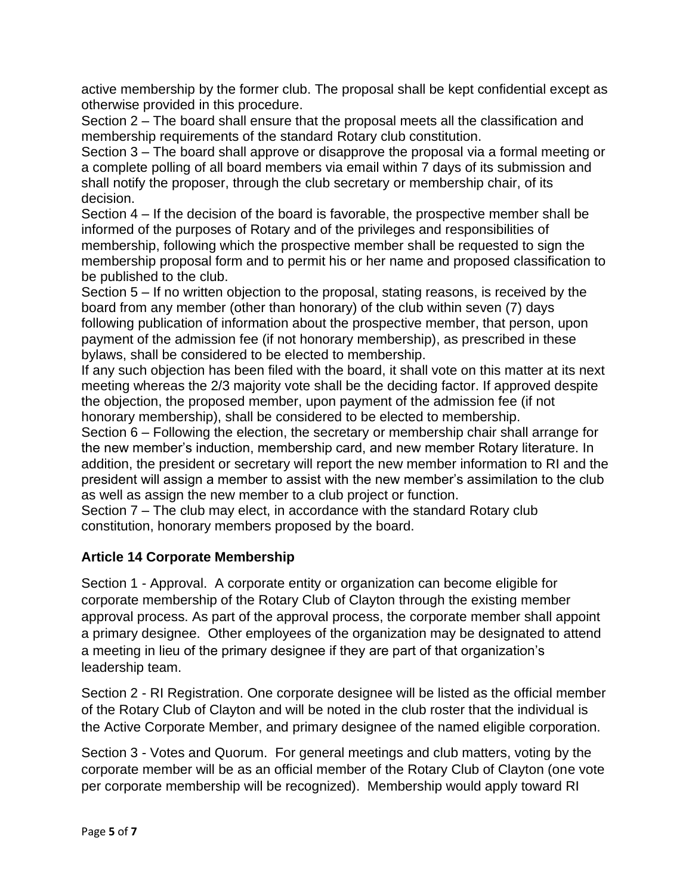active membership by the former club. The proposal shall be kept confidential except as otherwise provided in this procedure.

Section 2 – The board shall ensure that the proposal meets all the classification and membership requirements of the standard Rotary club constitution.

Section 3 – The board shall approve or disapprove the proposal via a formal meeting or a complete polling of all board members via email within 7 days of its submission and shall notify the proposer, through the club secretary or membership chair, of its decision.

Section 4 – If the decision of the board is favorable, the prospective member shall be informed of the purposes of Rotary and of the privileges and responsibilities of membership, following which the prospective member shall be requested to sign the membership proposal form and to permit his or her name and proposed classification to be published to the club.

Section 5 – If no written objection to the proposal, stating reasons, is received by the board from any member (other than honorary) of the club within seven (7) days following publication of information about the prospective member, that person, upon payment of the admission fee (if not honorary membership), as prescribed in these bylaws, shall be considered to be elected to membership.

If any such objection has been filed with the board, it shall vote on this matter at its next meeting whereas the 2/3 majority vote shall be the deciding factor. If approved despite the objection, the proposed member, upon payment of the admission fee (if not honorary membership), shall be considered to be elected to membership.

Section 6 – Following the election, the secretary or membership chair shall arrange for the new member's induction, membership card, and new member Rotary literature. In addition, the president or secretary will report the new member information to RI and the president will assign a member to assist with the new member's assimilation to the club as well as assign the new member to a club project or function.

Section 7 – The club may elect, in accordance with the standard Rotary club constitution, honorary members proposed by the board.

# **Article 14 Corporate Membership**

Section 1 - Approval.A corporate entity or organization can become eligible for corporate membership of the Rotary Club of Clayton through the existing member approval process. As part of the approval process, the corporate member shall appoint a primary designee. Other employees of the organization may be designated to attend a meeting in lieu of the primary designee if they are part of that organization's leadership team.

Section 2 - RI Registration. One corporate designee will be listed as the official member of the Rotary Club of Clayton and will be noted in the club roster that the individual is the Active Corporate Member, and primary designee of the named eligible corporation.

Section 3 - Votes and Quorum.For general meetings and club matters, voting by the corporate member will be as an official member of the Rotary Club of Clayton (one vote per corporate membership will be recognized). Membership would apply toward RI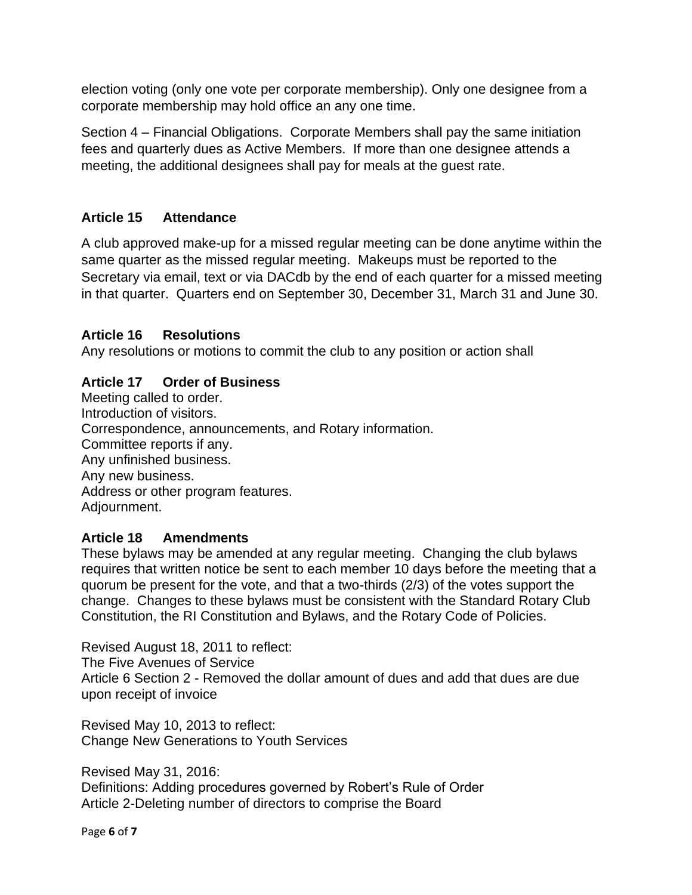election voting (only one vote per corporate membership). Only one designee from a corporate membership may hold office an any one time.

Section 4 – Financial Obligations. Corporate Members shall pay the same initiation fees and quarterly dues as Active Members. If more than one designee attends a meeting, the additional designees shall pay for meals at the guest rate.

# **Article 15 Attendance**

A club approved make-up for a missed regular meeting can be done anytime within the same quarter as the missed regular meeting. Makeups must be reported to the Secretary via email, text or via DACdb by the end of each quarter for a missed meeting in that quarter. Quarters end on September 30, December 31, March 31 and June 30.

# **Article 16 Resolutions**

Any resolutions or motions to commit the club to any position or action shall

# **Article 17 Order of Business**

Meeting called to order. Introduction of visitors. Correspondence, announcements, and Rotary information. Committee reports if any. Any unfinished business. Any new business. Address or other program features. Adjournment.

### **Article 18 Amendments**

These bylaws may be amended at any regular meeting. Changing the club bylaws requires that written notice be sent to each member 10 days before the meeting that a quorum be present for the vote, and that a two-thirds (2/3) of the votes support the change. Changes to these bylaws must be consistent with the Standard Rotary Club Constitution, the RI Constitution and Bylaws, and the Rotary Code of Policies.

Revised August 18, 2011 to reflect: The Five Avenues of Service Article 6 Section 2 - Removed the dollar amount of dues and add that dues are due upon receipt of invoice

Revised May 10, 2013 to reflect: Change New Generations to Youth Services

Revised May 31, 2016: Definitions: Adding procedures governed by Robert's Rule of Order Article 2-Deleting number of directors to comprise the Board